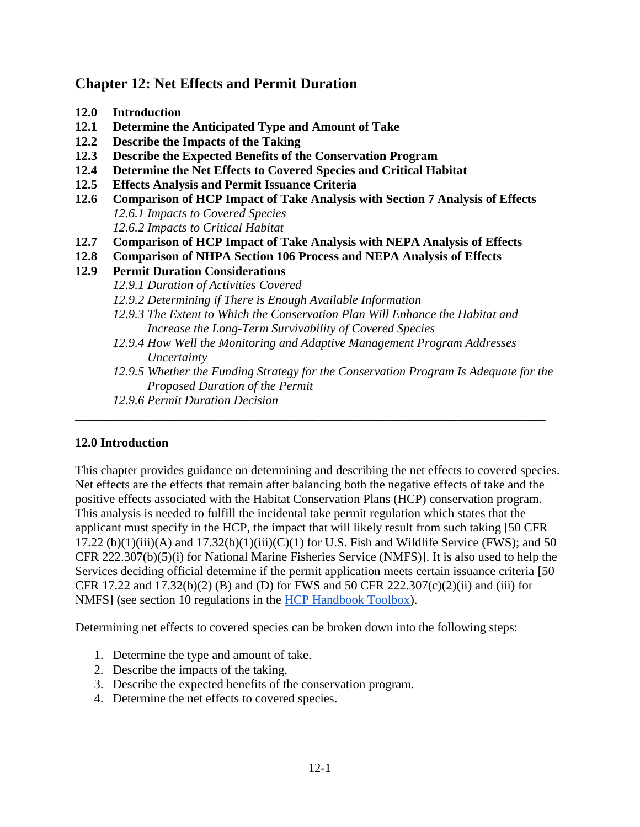# **Chapter 12: Net Effects and Permit Duration**

- **12.0 Introduction**
- **12.1 Determine the Anticipated Type and Amount of Take**
- **12.2 Describe the Impacts of the Taking**
- **12.3 Describe the Expected Benefits of the Conservation Program**
- **12.4 Determine the Net Effects to Covered Species and Critical Habitat**
- **12.5 Effects Analysis and Permit Issuance Criteria**
- **12.6 Comparison of HCP Impact of Take Analysis with Section 7 Analysis of Effects**  *12.6.1 Impacts to Covered Species 12.6.2 Impacts to Critical Habitat*
- **12.7 Comparison of HCP Impact of Take Analysis with NEPA Analysis of Effects**
- **12.8 Comparison of NHPA Section 106 Process and NEPA Analysis of Effects**
- **12.9 Permit Duration Considerations**
	- *12.9.1 Duration of Activities Covered*
	- *12.9.2 Determining if There is Enough Available Information*
	- *12.9.3 The Extent to Which the Conservation Plan Will Enhance the Habitat and Increase the Long-Term Survivability of Covered Species*
	- *12.9.4 How Well the Monitoring and Adaptive Management Program Addresses Uncertainty*

\_\_\_\_\_\_\_\_\_\_\_\_\_\_\_\_\_\_\_\_\_\_\_\_\_\_\_\_\_\_\_\_\_\_\_\_\_\_\_\_\_\_\_\_\_\_\_\_\_\_\_\_\_\_\_\_\_\_\_\_\_\_\_\_\_\_\_\_\_\_\_\_\_\_\_

- *12.9.5 Whether the Funding Strategy for the Conservation Program Is Adequate for the Proposed Duration of the Permit*
- *12.9.6 Permit Duration Decision*

### **12.0 Introduction**

This chapter provides guidance on determining and describing the net effects to covered species. Net effects are the effects that remain after balancing both the negative effects of take and the positive effects associated with the Habitat Conservation Plans (HCP) conservation program. This analysis is needed to fulfill the incidental take permit regulation which states that the applicant must specify in the HCP, the impact that will likely result from such taking [50 CFR 17.22 (b)(1)(iii)(A) and  $17.32(b)(1)$ (iii)(C)(1) for U.S. Fish and Wildlife Service (FWS); and 50 CFR 222.307(b)(5)(i) for National Marine Fisheries Service (NMFS)]. It is also used to help the Services deciding official determine if the permit application meets certain issuance criteria [50 CFR 17.22 and 17.32(b)(2) (B) and (D) for FWS and 50 CFR 222.307(c)(2)(ii) and (iii) for NMFS] (see section 10 regulations in the [HCP Handbook Toolbox\)](https://www.fws.gov/endangered/what-we-do/hcp-handbook-toolbox.html).

Determining net effects to covered species can be broken down into the following steps:

- 1. Determine the type and amount of take.
- 2. Describe the impacts of the taking.
- 3. Describe the expected benefits of the conservation program.
- 4. Determine the net effects to covered species.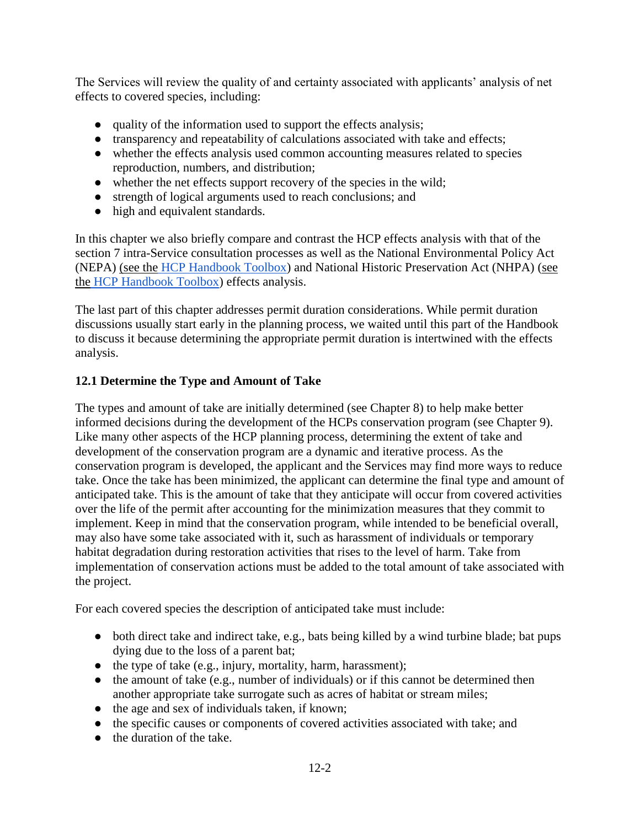The Services will review the quality of and certainty associated with applicants' analysis of net effects to covered species, including:

- quality of the information used to support the effects analysis;
- transparency and repeatability of calculations associated with take and effects;
- whether the effects analysis used common accounting measures related to species reproduction, numbers, and distribution;
- whether the net effects support recovery of the species in the wild;
- strength of logical arguments used to reach conclusions; and
- high and equivalent standards.

In this chapter we also briefly compare and contrast the HCP effects analysis with that of the section 7 intra-Service consultation processes as well as the National Environmental Policy Act (NEPA) [\(see the](https://www.fws.gov/endangered/what-we-do/hcp-handbook-toolbox.html#Ch12) [HCP Handbook Toolbox\)](https://www.fws.gov/endangered/what-we-do/hcp-handbook-toolbox.html) and National Historic Preservation Act (NHPA) [\(see](https://www.fws.gov/endangered/what-we-do/hcp-handbook-toolbox.html#Ch12)  [the](https://www.fws.gov/endangered/what-we-do/hcp-handbook-toolbox.html#Ch12) [HCP Handbook Toolbox\)](https://www.fws.gov/endangered/what-we-do/hcp-handbook-toolbox.html#Ch12) effects analysis.

The last part of this chapter addresses permit duration considerations. While permit duration discussions usually start early in the planning process, we waited until this part of the Handbook to discuss it because determining the appropriate permit duration is intertwined with the effects analysis.

### **12.1 Determine the Type and Amount of Take**

The types and amount of take are initially determined (see Chapter 8) to help make better informed decisions during the development of the HCPs conservation program (see Chapter 9). Like many other aspects of the HCP planning process, determining the extent of take and development of the conservation program are a dynamic and iterative process. As the conservation program is developed, the applicant and the Services may find more ways to reduce take. Once the take has been minimized, the applicant can determine the final type and amount of anticipated take. This is the amount of take that they anticipate will occur from covered activities over the life of the permit after accounting for the minimization measures that they commit to implement. Keep in mind that the conservation program, while intended to be beneficial overall, may also have some take associated with it, such as harassment of individuals or temporary habitat degradation during restoration activities that rises to the level of harm. Take from implementation of conservation actions must be added to the total amount of take associated with the project.

For each covered species the description of anticipated take must include:

- both direct take and indirect take, e.g., bats being killed by a wind turbine blade; bat pups dying due to the loss of a parent bat;
- the type of take (e.g., injury, mortality, harm, harassment);
- the amount of take (e.g., number of individuals) or if this cannot be determined then another appropriate take surrogate such as acres of habitat or stream miles;
- the age and sex of individuals taken, if known;
- the specific causes or components of covered activities associated with take; and
- the duration of the take.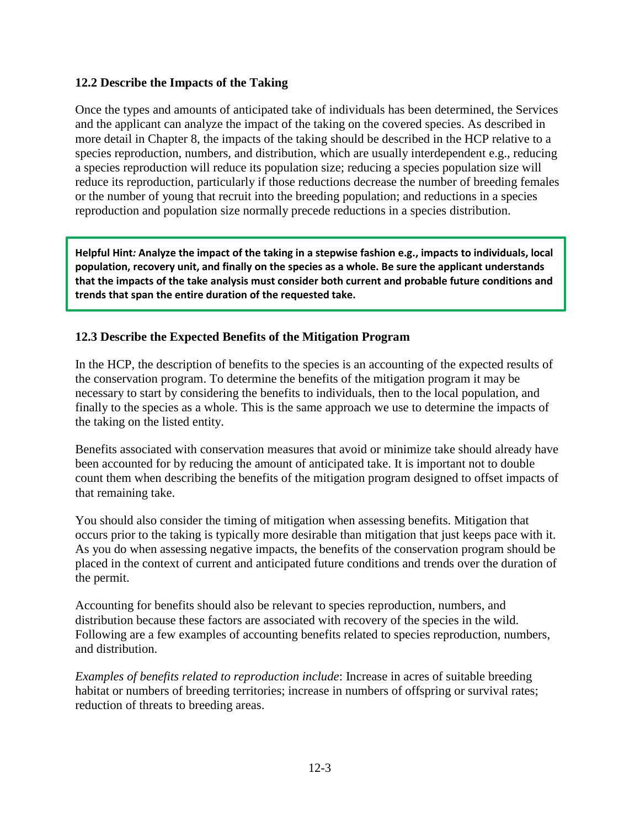#### **12.2 Describe the Impacts of the Taking**

Once the types and amounts of anticipated take of individuals has been determined, the Services and the applicant can analyze the impact of the taking on the covered species. As described in more detail in Chapter 8, the impacts of the taking should be described in the HCP relative to a species reproduction, numbers, and distribution, which are usually interdependent e.g., reducing a species reproduction will reduce its population size; reducing a species population size will reduce its reproduction, particularly if those reductions decrease the number of breeding females or the number of young that recruit into the breeding population; and reductions in a species reproduction and population size normally precede reductions in a species distribution.

**Helpful Hint***:* **Analyze the impact of the taking in a stepwise fashion e.g., impacts to individuals, local population, recovery unit, and finally on the species as a whole. Be sure the applicant understands that the impacts of the take analysis must consider both current and probable future conditions and trends that span the entire duration of the requested take.** 

### **12.3 Describe the Expected Benefits of the Mitigation Program**

In the HCP, the description of benefits to the species is an accounting of the expected results of the conservation program. To determine the benefits of the mitigation program it may be necessary to start by considering the benefits to individuals, then to the local population, and finally to the species as a whole. This is the same approach we use to determine the impacts of the taking on the listed entity.

Benefits associated with conservation measures that avoid or minimize take should already have been accounted for by reducing the amount of anticipated take. It is important not to double count them when describing the benefits of the mitigation program designed to offset impacts of that remaining take.

You should also consider the timing of mitigation when assessing benefits. Mitigation that occurs prior to the taking is typically more desirable than mitigation that just keeps pace with it. As you do when assessing negative impacts, the benefits of the conservation program should be placed in the context of current and anticipated future conditions and trends over the duration of the permit.

Accounting for benefits should also be relevant to species reproduction, numbers, and distribution because these factors are associated with recovery of the species in the wild. Following are a few examples of accounting benefits related to species reproduction, numbers, and distribution.

*Examples of benefits related to reproduction include*: Increase in acres of suitable breeding habitat or numbers of breeding territories; increase in numbers of offspring or survival rates; reduction of threats to breeding areas.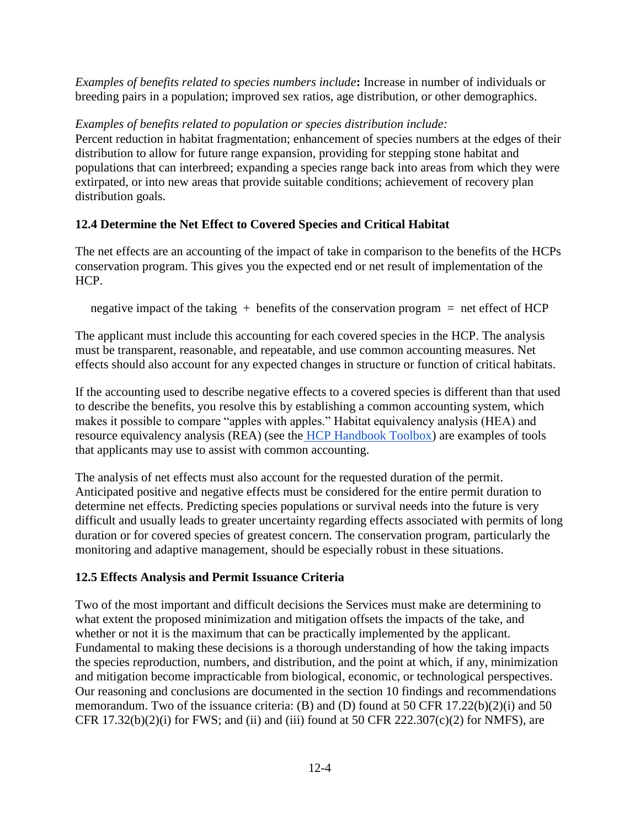*Examples of benefits related to species numbers include***:** Increase in number of individuals or breeding pairs in a population; improved sex ratios, age distribution, or other demographics.

### *Examples of benefits related to population or species distribution include:*

Percent reduction in habitat fragmentation; enhancement of species numbers at the edges of their distribution to allow for future range expansion, providing for stepping stone habitat and populations that can interbreed; expanding a species range back into areas from which they were extirpated, or into new areas that provide suitable conditions; achievement of recovery plan distribution goals.

## **12.4 Determine the Net Effect to Covered Species and Critical Habitat**

The net effects are an accounting of the impact of take in comparison to the benefits of the HCPs conservation program. This gives you the expected end or net result of implementation of the HCP.

negative impact of the taking  $+$  benefits of the conservation program  $=$  net effect of HCP

The applicant must include this accounting for each covered species in the HCP. The analysis must be transparent, reasonable, and repeatable, and use common accounting measures. Net effects should also account for any expected changes in structure or function of critical habitats.

If the accounting used to describe negative effects to a covered species is different than that used to describe the benefits, you resolve this by establishing a common accounting system, which makes it possible to compare "apples with apples." Habitat equivalency analysis (HEA) and resource equivalency analysis (REA) (see the [HCP Handbook Toolbox\)](https://www.fws.gov/endangered/what-we-do/hcp-handbook-toolbox.html#Ch12) are examples of tools that applicants may use to assist with common accounting.

The analysis of net effects must also account for the requested duration of the permit. Anticipated positive and negative effects must be considered for the entire permit duration to determine net effects. Predicting species populations or survival needs into the future is very difficult and usually leads to greater uncertainty regarding effects associated with permits of long duration or for covered species of greatest concern. The conservation program, particularly the monitoring and adaptive management, should be especially robust in these situations.

## **12.5 Effects Analysis and Permit Issuance Criteria**

Two of the most important and difficult decisions the Services must make are determining to what extent the proposed minimization and mitigation offsets the impacts of the take, and whether or not it is the maximum that can be practically implemented by the applicant. Fundamental to making these decisions is a thorough understanding of how the taking impacts the species reproduction, numbers, and distribution, and the point at which, if any, minimization and mitigation become impracticable from biological, economic, or technological perspectives. Our reasoning and conclusions are documented in the section 10 findings and recommendations memorandum. Two of the issuance criteria: (B) and (D) found at 50 CFR 17.22(b)(2)(i) and 50 CFR  $17.32(b)(2)(i)$  for FWS; and (ii) and (iii) found at 50 CFR  $222.307(c)(2)$  for NMFS), are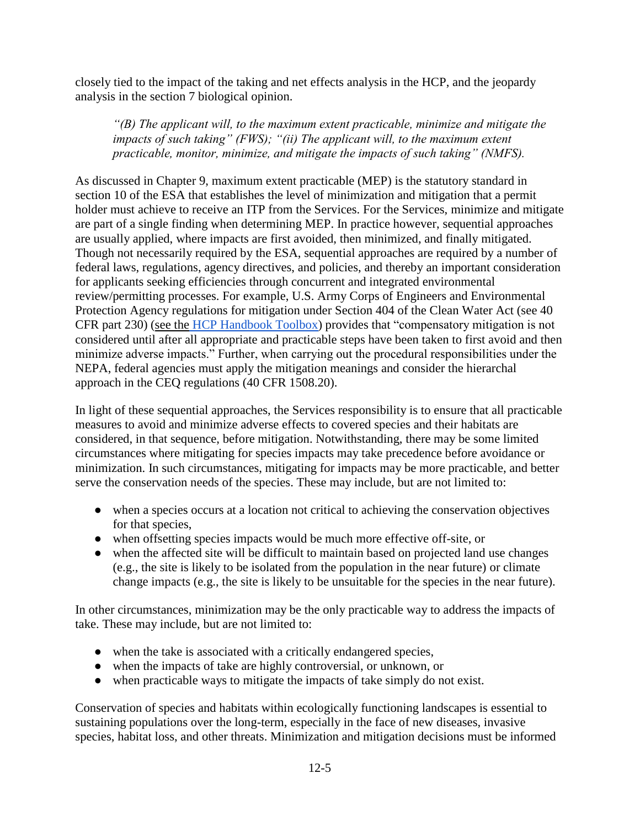closely tied to the impact of the taking and net effects analysis in the HCP, and the jeopardy analysis in the section 7 biological opinion.

*"(B) The applicant will, to the maximum extent practicable, minimize and mitigate the impacts of such taking" (FWS); "(ii) The applicant will, to the maximum extent practicable, monitor, minimize, and mitigate the impacts of such taking" (NMFS).* 

As discussed in Chapter 9, maximum extent practicable (MEP) is the statutory standard in section 10 of the ESA that establishes the level of minimization and mitigation that a permit holder must achieve to receive an ITP from the Services. For the Services, minimize and mitigate are part of a single finding when determining MEP. In practice however, sequential approaches are usually applied, where impacts are first avoided, then minimized, and finally mitigated. Though not necessarily required by the ESA, sequential approaches are required by a number of federal laws, regulations, agency directives, and policies, and thereby an important consideration for applicants seeking efficiencies through concurrent and integrated environmental review/permitting processes. For example, U.S. Army Corps of Engineers and Environmental Protection Agency regulations for mitigation under Section 404 of the Clean Water Act (see 40 CFR part 230) [\(see the](https://www.fws.gov/endangered/what-we-do/hcp-handbook-toolbox.html#Ch12) [HCP Handbook Toolbox\)](https://www.fws.gov/endangered/what-we-do/hcp-handbook-toolbox.html#Ch12) provides that "compensatory mitigation is not considered until after all appropriate and practicable steps have been taken to first avoid and then minimize adverse impacts." Further, when carrying out the procedural responsibilities under the NEPA, federal agencies must apply the mitigation meanings and consider the hierarchal approach in the CEQ regulations (40 CFR 1508.20).

In light of these sequential approaches, the Services responsibility is to ensure that all practicable measures to avoid and minimize adverse effects to covered species and their habitats are considered, in that sequence, before mitigation. Notwithstanding, there may be some limited circumstances where mitigating for species impacts may take precedence before avoidance or minimization. In such circumstances, mitigating for impacts may be more practicable, and better serve the conservation needs of the species. These may include, but are not limited to:

- when a species occurs at a location not critical to achieving the conservation objectives for that species,
- when offsetting species impacts would be much more effective off-site, or
- when the affected site will be difficult to maintain based on projected land use changes (e.g., the site is likely to be isolated from the population in the near future) or climate change impacts (e.g., the site is likely to be unsuitable for the species in the near future).

In other circumstances, minimization may be the only practicable way to address the impacts of take. These may include, but are not limited to:

- when the take is associated with a critically endangered species,
- when the impacts of take are highly controversial, or unknown, or
- when practicable ways to mitigate the impacts of take simply do not exist.

Conservation of species and habitats within ecologically functioning landscapes is essential to sustaining populations over the long-term, especially in the face of new diseases, invasive species, habitat loss, and other threats. Minimization and mitigation decisions must be informed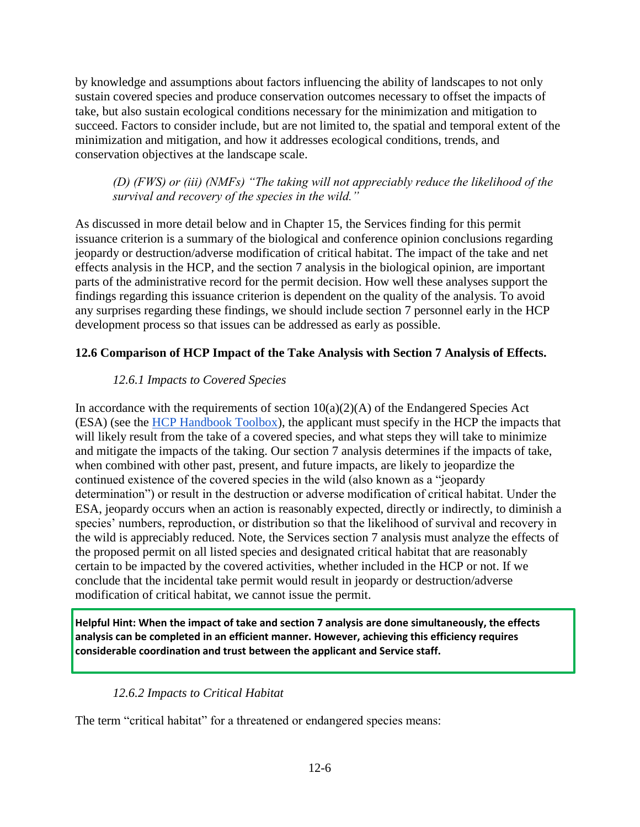by knowledge and assumptions about factors influencing the ability of landscapes to not only sustain covered species and produce conservation outcomes necessary to offset the impacts of take, but also sustain ecological conditions necessary for the minimization and mitigation to succeed. Factors to consider include, but are not limited to, the spatial and temporal extent of the minimization and mitigation, and how it addresses ecological conditions, trends, and conservation objectives at the landscape scale.

*(D) (FWS) or (iii) (NMFs) "The taking will not appreciably reduce the likelihood of the survival and recovery of the species in the wild."* 

As discussed in more detail below and in Chapter 15, the Services finding for this permit issuance criterion is a summary of the biological and conference opinion conclusions regarding jeopardy or destruction/adverse modification of critical habitat. The impact of the take and net effects analysis in the HCP, and the section 7 analysis in the biological opinion, are important parts of the administrative record for the permit decision. How well these analyses support the findings regarding this issuance criterion is dependent on the quality of the analysis. To avoid any surprises regarding these findings, we should include section 7 personnel early in the HCP development process so that issues can be addressed as early as possible.

## **12.6 Comparison of HCP Impact of the Take Analysis with Section 7 Analysis of Effects.**

### *12.6.1 Impacts to Covered Species*

In accordance with the requirements of section  $10(a)(2)(A)$  of the Endangered Species Act (ESA) (see the [HCP Handbook Toolbox\)](https://www.fws.gov/endangered/what-we-do/hcp-handbook-toolbox.html#Ch12), the applicant must specify in the HCP the impacts that will likely result from the take of a covered species, and what steps they will take to minimize and mitigate the impacts of the taking. Our section 7 analysis determines if the impacts of take, when combined with other past, present, and future impacts, are likely to jeopardize the continued existence of the covered species in the wild (also known as a "jeopardy determination") or result in the destruction or adverse modification of critical habitat. Under the ESA, jeopardy occurs when an action is reasonably expected, directly or indirectly, to diminish a species' numbers, reproduction, or distribution so that the likelihood of survival and recovery in the wild is appreciably reduced. Note, the Services section 7 analysis must analyze the effects of the proposed permit on all listed species and designated critical habitat that are reasonably certain to be impacted by the covered activities, whether included in the HCP or not. If we conclude that the incidental take permit would result in jeopardy or destruction/adverse modification of critical habitat, we cannot issue the permit.

**Helpful Hint: When the impact of take and section 7 analysis are done simultaneously, the effects analysis can be completed in an efficient manner. However, achieving this efficiency requires considerable coordination and trust between the applicant and Service staff.** 

### *12.6.2 Impacts to Critical Habitat*

The term "critical habitat" for a threatened or endangered species means: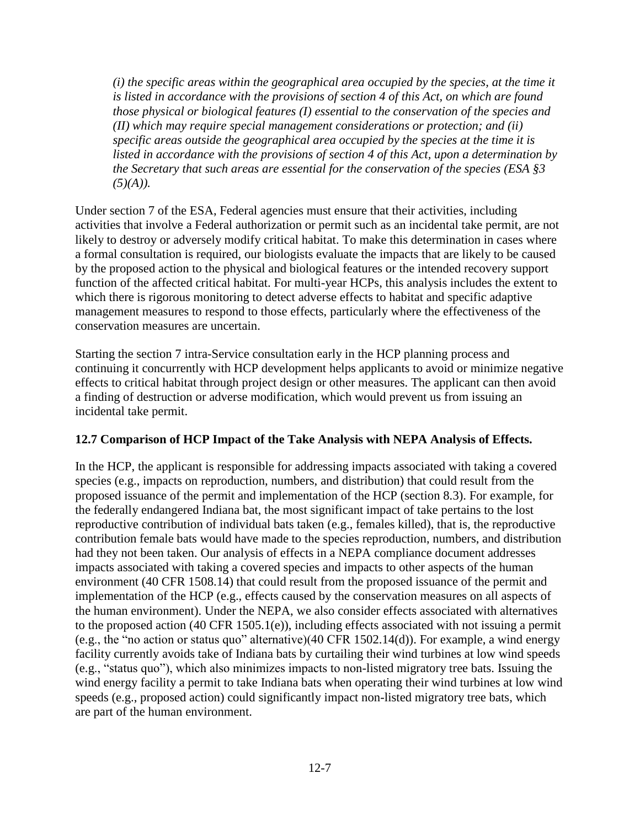*(i) the specific areas within the geographical area occupied by the species, at the time it is listed in accordance with the provisions of section 4 of this Act, on which are found those physical or biological features (I) essential to the conservation of the species and (II) which may require special management considerations or protection; and (ii) specific areas outside the geographical area occupied by the species at the time it is listed in accordance with the provisions of section 4 of this Act, upon a determination by the Secretary that such areas are essential for the conservation of the species (ESA §3 (5)(A)).*

Under section 7 of the ESA, Federal agencies must ensure that their activities, including activities that involve a Federal authorization or permit such as an incidental take permit, are not likely to destroy or adversely modify critical habitat. To make this determination in cases where a formal consultation is required, our biologists evaluate the impacts that are likely to be caused by the proposed action to the physical and biological features or the intended recovery support function of the affected critical habitat. For multi-year HCPs, this analysis includes the extent to which there is rigorous monitoring to detect adverse effects to habitat and specific adaptive management measures to respond to those effects, particularly where the effectiveness of the conservation measures are uncertain.

Starting the section 7 intra-Service consultation early in the HCP planning process and continuing it concurrently with HCP development helps applicants to avoid or minimize negative effects to critical habitat through project design or other measures. The applicant can then avoid a finding of destruction or adverse modification, which would prevent us from issuing an incidental take permit.

### **12.7 Comparison of HCP Impact of the Take Analysis with NEPA Analysis of Effects.**

In the HCP, the applicant is responsible for addressing impacts associated with taking a covered species (e.g., impacts on reproduction, numbers, and distribution) that could result from the proposed issuance of the permit and implementation of the HCP (section 8.3). For example, for the federally endangered Indiana bat, the most significant impact of take pertains to the lost reproductive contribution of individual bats taken (e.g., females killed), that is, the reproductive contribution female bats would have made to the species reproduction, numbers, and distribution had they not been taken. Our analysis of effects in a NEPA compliance document addresses impacts associated with taking a covered species and impacts to other aspects of the human environment (40 CFR 1508.14) that could result from the proposed issuance of the permit and implementation of the HCP (e.g., effects caused by the conservation measures on all aspects of the human environment). Under the NEPA, we also consider effects associated with alternatives to the proposed action (40 CFR 1505.1(e)), including effects associated with not issuing a permit (e.g., the "no action or status quo" alternative)(40 CFR 1502.14(d)). For example, a wind energy facility currently avoids take of Indiana bats by curtailing their wind turbines at low wind speeds (e.g., "status quo"), which also minimizes impacts to non-listed migratory tree bats. Issuing the wind energy facility a permit to take Indiana bats when operating their wind turbines at low wind speeds (e.g., proposed action) could significantly impact non-listed migratory tree bats, which are part of the human environment.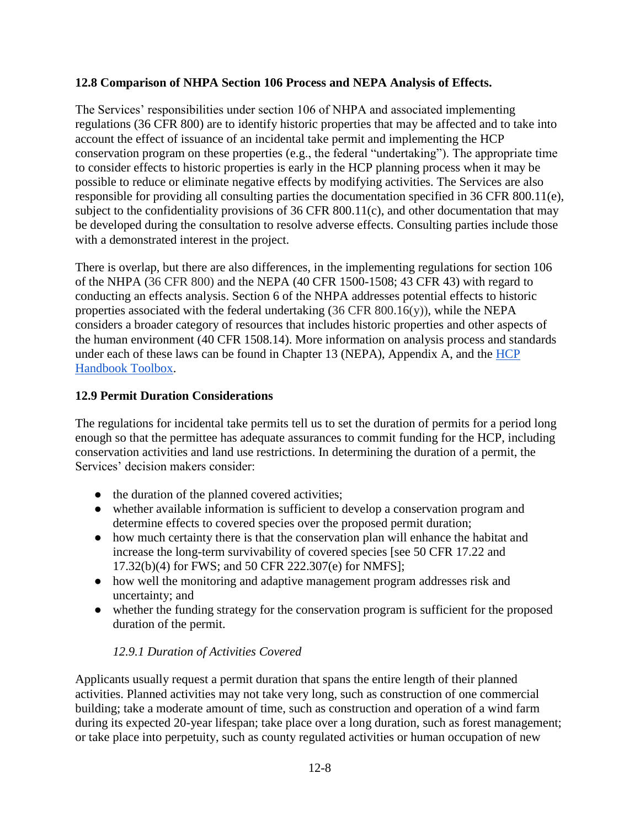### **12.8 Comparison of NHPA Section 106 Process and NEPA Analysis of Effects.**

The Services' responsibilities under section 106 of NHPA and associated implementing regulations (36 CFR 800) are to identify historic properties that may be affected and to take into account the effect of issuance of an incidental take permit and implementing the HCP conservation program on these properties (e.g., the federal "undertaking"). The appropriate time to consider effects to historic properties is early in the HCP planning process when it may be possible to reduce or eliminate negative effects by modifying activities. The Services are also responsible for providing all consulting parties the documentation specified in 36 CFR 800.11(e), subject to the confidentiality provisions of 36 CFR 800.11(c), and other documentation that may be developed during the consultation to resolve adverse effects. Consulting parties include those with a demonstrated interest in the project.

There is overlap, but there are also differences, in the implementing regulations for section 106 of the NHPA (36 CFR 800) and the NEPA (40 CFR 1500-1508; 43 CFR 43) with regard to conducting an effects analysis. Section 6 of the NHPA addresses potential effects to historic properties associated with the federal undertaking  $(36 \text{ CFR } 800.16(y))$ , while the NEPA considers a broader category of resources that includes historic properties and other aspects of the human environment (40 CFR 1508.14). More information on analysis process and standards under each of these laws can be found in Chapter 13 (NEPA), Appendix A, and the HCP [Handbook Toolbox.](https://www.fws.gov/endangered/what-we-do/hcp-handbook-toolbox.html)

## **12.9 Permit Duration Considerations**

The regulations for incidental take permits tell us to set the duration of permits for a period long enough so that the permittee has adequate assurances to commit funding for the HCP, including conservation activities and land use restrictions. In determining the duration of a permit, the Services' decision makers consider:

- the duration of the planned covered activities;
- whether available information is sufficient to develop a conservation program and determine effects to covered species over the proposed permit duration;
- how much certainty there is that the conservation plan will enhance the habitat and increase the long-term survivability of covered species [see 50 CFR 17.22 and 17.32(b)(4) for FWS; and 50 CFR 222.307(e) for NMFS];
- how well the monitoring and adaptive management program addresses risk and uncertainty; and
- whether the funding strategy for the conservation program is sufficient for the proposed duration of the permit.

## *12.9.1 Duration of Activities Covered*

Applicants usually request a permit duration that spans the entire length of their planned activities. Planned activities may not take very long, such as construction of one commercial building; take a moderate amount of time, such as construction and operation of a wind farm during its expected 20-year lifespan; take place over a long duration, such as forest management; or take place into perpetuity, such as county regulated activities or human occupation of new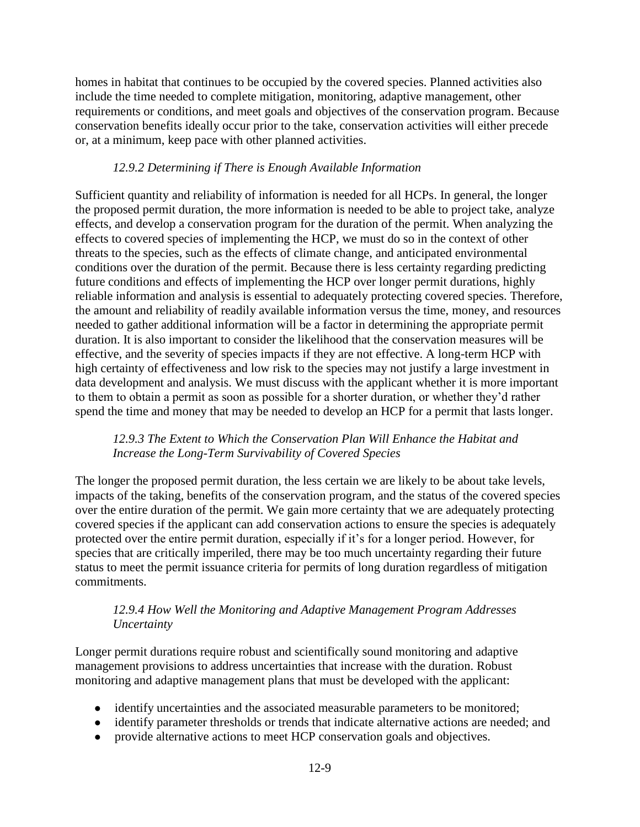homes in habitat that continues to be occupied by the covered species. Planned activities also include the time needed to complete mitigation, monitoring, adaptive management, other requirements or conditions, and meet goals and objectives of the conservation program. Because conservation benefits ideally occur prior to the take, conservation activities will either precede or, at a minimum, keep pace with other planned activities.

### *12.9.2 Determining if There is Enough Available Information*

Sufficient quantity and reliability of information is needed for all HCPs. In general, the longer the proposed permit duration, the more information is needed to be able to project take, analyze effects, and develop a conservation program for the duration of the permit. When analyzing the effects to covered species of implementing the HCP, we must do so in the context of other threats to the species, such as the effects of climate change, and anticipated environmental conditions over the duration of the permit. Because there is less certainty regarding predicting future conditions and effects of implementing the HCP over longer permit durations, highly reliable information and analysis is essential to adequately protecting covered species. Therefore, the amount and reliability of readily available information versus the time, money, and resources needed to gather additional information will be a factor in determining the appropriate permit duration. It is also important to consider the likelihood that the conservation measures will be effective, and the severity of species impacts if they are not effective. A long-term HCP with high certainty of effectiveness and low risk to the species may not justify a large investment in data development and analysis. We must discuss with the applicant whether it is more important to them to obtain a permit as soon as possible for a shorter duration, or whether they'd rather spend the time and money that may be needed to develop an HCP for a permit that lasts longer.

#### *12.9.3 The Extent to Which the Conservation Plan Will Enhance the Habitat and Increase the Long-Term Survivability of Covered Species*

The longer the proposed permit duration, the less certain we are likely to be about take levels, impacts of the taking, benefits of the conservation program, and the status of the covered species over the entire duration of the permit. We gain more certainty that we are adequately protecting covered species if the applicant can add conservation actions to ensure the species is adequately protected over the entire permit duration, especially if it's for a longer period. However, for species that are critically imperiled, there may be too much uncertainty regarding their future status to meet the permit issuance criteria for permits of long duration regardless of mitigation commitments.

### *12.9.4 How Well the Monitoring and Adaptive Management Program Addresses Uncertainty*

Longer permit durations require robust and scientifically sound monitoring and adaptive management provisions to address uncertainties that increase with the duration. Robust monitoring and adaptive management plans that must be developed with the applicant:

- identify uncertainties and the associated measurable parameters to be monitored;
- identify parameter thresholds or trends that indicate alternative actions are needed; and
- provide alternative actions to meet HCP conservation goals and objectives.